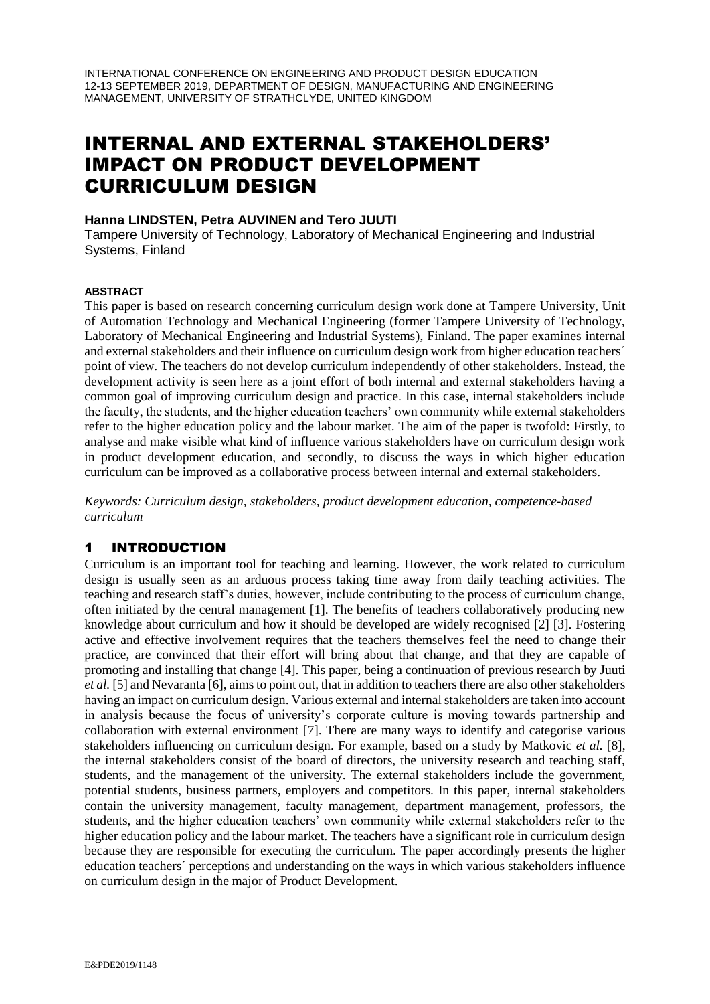INTERNATIONAL CONFERENCE ON ENGINEERING AND PRODUCT DESIGN EDUCATION 12-13 SEPTEMBER 2019, DEPARTMENT OF DESIGN, MANUFACTURING AND ENGINEERING MANAGEMENT, UNIVERSITY OF STRATHCLYDE, UNITED KINGDOM

# INTERNAL AND EXTERNAL STAKEHOLDERS' IMPACT ON PRODUCT DEVELOPMENT CURRICULUM DESIGN

### **Hanna LINDSTEN, Petra AUVINEN and Tero JUUTI**

Tampere University of Technology, Laboratory of Mechanical Engineering and Industrial Systems, Finland

#### **ABSTRACT**

This paper is based on research concerning curriculum design work done at Tampere University, Unit of Automation Technology and Mechanical Engineering (former Tampere University of Technology, Laboratory of Mechanical Engineering and Industrial Systems), Finland. The paper examines internal and external stakeholders and their influence on curriculum design work from higher education teachers´ point of view. The teachers do not develop curriculum independently of other stakeholders. Instead, the development activity is seen here as a joint effort of both internal and external stakeholders having a common goal of improving curriculum design and practice. In this case, internal stakeholders include the faculty, the students, and the higher education teachers' own community while external stakeholders refer to the higher education policy and the labour market. The aim of the paper is twofold: Firstly, to analyse and make visible what kind of influence various stakeholders have on curriculum design work in product development education, and secondly, to discuss the ways in which higher education curriculum can be improved as a collaborative process between internal and external stakeholders.

*Keywords: Curriculum design, stakeholders, product development education, competence-based curriculum*

# 1 INTRODUCTION

Curriculum is an important tool for teaching and learning. However, the work related to curriculum design is usually seen as an arduous process taking time away from daily teaching activities. The teaching and research staff's duties, however, include contributing to the process of curriculum change, often initiated by the central management [1]. The benefits of teachers collaboratively producing new knowledge about curriculum and how it should be developed are widely recognised [2] [3]. Fostering active and effective involvement requires that the teachers themselves feel the need to change their practice, are convinced that their effort will bring about that change, and that they are capable of promoting and installing that change [4]. This paper, being a continuation of previous research by Juuti *et al.* [5] and Nevaranta [6], aims to point out, that in addition to teachers there are also other stakeholders having an impact on curriculum design. Various external and internal stakeholders are taken into account in analysis because the focus of university's corporate culture is moving towards partnership and collaboration with external environment [7]. There are many ways to identify and categorise various stakeholders influencing on curriculum design. For example, based on a study by Matkovic *et al.* [8], the internal stakeholders consist of the board of directors, the university research and teaching staff, students, and the management of the university. The external stakeholders include the government, potential students, business partners, employers and competitors. In this paper, internal stakeholders contain the university management, faculty management, department management, professors, the students, and the higher education teachers' own community while external stakeholders refer to the higher education policy and the labour market. The teachers have a significant role in curriculum design because they are responsible for executing the curriculum. The paper accordingly presents the higher education teachers´ perceptions and understanding on the ways in which various stakeholders influence on curriculum design in the major of Product Development.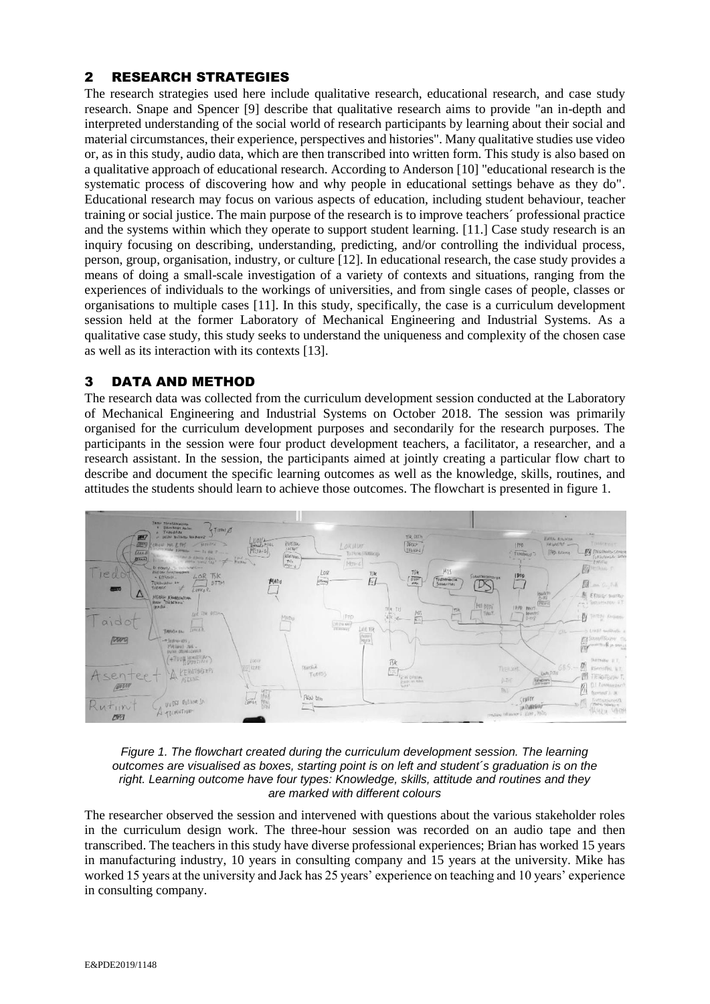# 2 RESEARCH STRATEGIES

The research strategies used here include qualitative research, educational research, and case study research. Snape and Spencer [9] describe that qualitative research aims to provide "an in-depth and interpreted understanding of the social world of research participants by learning about their social and material circumstances, their experience, perspectives and histories". Many qualitative studies use video or, as in this study, audio data, which are then transcribed into written form. This study is also based on a qualitative approach of educational research. According to Anderson [10] "educational research is the systematic process of discovering how and why people in educational settings behave as they do". Educational research may focus on various aspects of education, including student behaviour, teacher training or social justice. The main purpose of the research is to improve teachers´ professional practice and the systems within which they operate to support student learning. [11.] Case study research is an inquiry focusing on describing, understanding, predicting, and/or controlling the individual process, person, group, organisation, industry, or culture [12]. In educational research, the case study provides a means of doing a small-scale investigation of a variety of contexts and situations, ranging from the experiences of individuals to the workings of universities, and from single cases of people, classes or organisations to multiple cases [11]. In this study, specifically, the case is a curriculum development session held at the former Laboratory of Mechanical Engineering and Industrial Systems. As a qualitative case study, this study seeks to understand the uniqueness and complexity of the chosen case as well as its interaction with its contexts [13].

# 3 DATA AND METHOD

The research data was collected from the curriculum development session conducted at the Laboratory of Mechanical Engineering and Industrial Systems on October 2018. The session was primarily organised for the curriculum development purposes and secondarily for the research purposes. The participants in the session were four product development teachers, a facilitator, a researcher, and a research assistant. In the session, the participants aimed at jointly creating a particular flow chart to describe and document the specific learning outcomes as well as the knowledge, skills, routines, and attitudes the students should learn to achieve those outcomes. The flowchart is presented in figure 1.





The researcher observed the session and intervened with questions about the various stakeholder roles in the curriculum design work. The three-hour session was recorded on an audio tape and then transcribed. The teachers in this study have diverse professional experiences; Brian has worked 15 years in manufacturing industry, 10 years in consulting company and 15 years at the university. Mike has worked 15 years at the university and Jack has 25 years' experience on teaching and 10 years' experience in consulting company.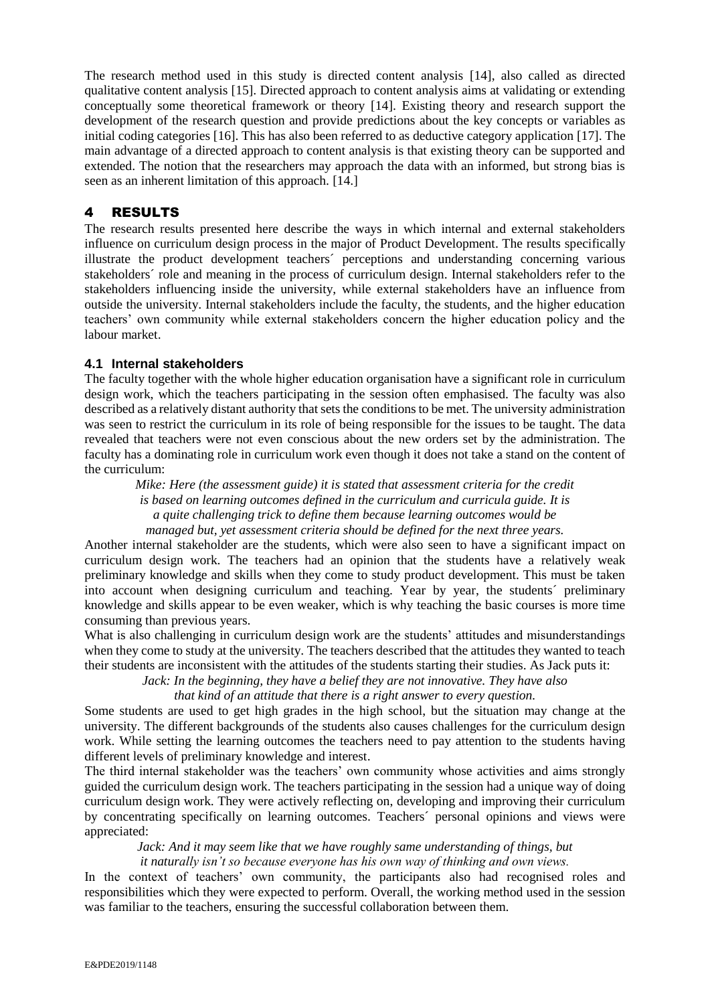The research method used in this study is directed content analysis [14], also called as directed qualitative content analysis [15]. Directed approach to content analysis aims at validating or extending conceptually some theoretical framework or theory [14]. Existing theory and research support the development of the research question and provide predictions about the key concepts or variables as initial coding categories [16]. This has also been referred to as deductive category application [17]. The main advantage of a directed approach to content analysis is that existing theory can be supported and extended. The notion that the researchers may approach the data with an informed, but strong bias is seen as an inherent limitation of this approach. [14.]

# 4 RESULTS

The research results presented here describe the ways in which internal and external stakeholders influence on curriculum design process in the major of Product Development. The results specifically illustrate the product development teachers´ perceptions and understanding concerning various stakeholders´ role and meaning in the process of curriculum design. Internal stakeholders refer to the stakeholders influencing inside the university, while external stakeholders have an influence from outside the university. Internal stakeholders include the faculty, the students, and the higher education teachers' own community while external stakeholders concern the higher education policy and the labour market.

# **4.1 Internal stakeholders**

The faculty together with the whole higher education organisation have a significant role in curriculum design work, which the teachers participating in the session often emphasised. The faculty was also described as a relatively distant authority that sets the conditions to be met. The university administration was seen to restrict the curriculum in its role of being responsible for the issues to be taught. The data revealed that teachers were not even conscious about the new orders set by the administration. The faculty has a dominating role in curriculum work even though it does not take a stand on the content of the curriculum:

*Mike: Here (the assessment guide) it is stated that assessment criteria for the credit is based on learning outcomes defined in the curriculum and curricula guide. It is a quite challenging trick to define them because learning outcomes would be managed but, yet assessment criteria should be defined for the next three years.*

Another internal stakeholder are the students, which were also seen to have a significant impact on curriculum design work. The teachers had an opinion that the students have a relatively weak preliminary knowledge and skills when they come to study product development. This must be taken into account when designing curriculum and teaching. Year by year, the students´ preliminary knowledge and skills appear to be even weaker, which is why teaching the basic courses is more time consuming than previous years.

What is also challenging in curriculum design work are the students' attitudes and misunderstandings when they come to study at the university. The teachers described that the attitudes they wanted to teach their students are inconsistent with the attitudes of the students starting their studies. As Jack puts it:

*Jack: In the beginning, they have a belief they are not innovative. They have also* 

*that kind of an attitude that there is a right answer to every question.*

Some students are used to get high grades in the high school, but the situation may change at the university. The different backgrounds of the students also causes challenges for the curriculum design work. While setting the learning outcomes the teachers need to pay attention to the students having different levels of preliminary knowledge and interest.

The third internal stakeholder was the teachers' own community whose activities and aims strongly guided the curriculum design work. The teachers participating in the session had a unique way of doing curriculum design work. They were actively reflecting on, developing and improving their curriculum by concentrating specifically on learning outcomes. Teachers´ personal opinions and views were appreciated:

*Jack: And it may seem like that we have roughly same understanding of things, but* 

*it naturally isn't so because everyone has his own way of thinking and own views.* 

In the context of teachers' own community, the participants also had recognised roles and responsibilities which they were expected to perform. Overall, the working method used in the session was familiar to the teachers, ensuring the successful collaboration between them.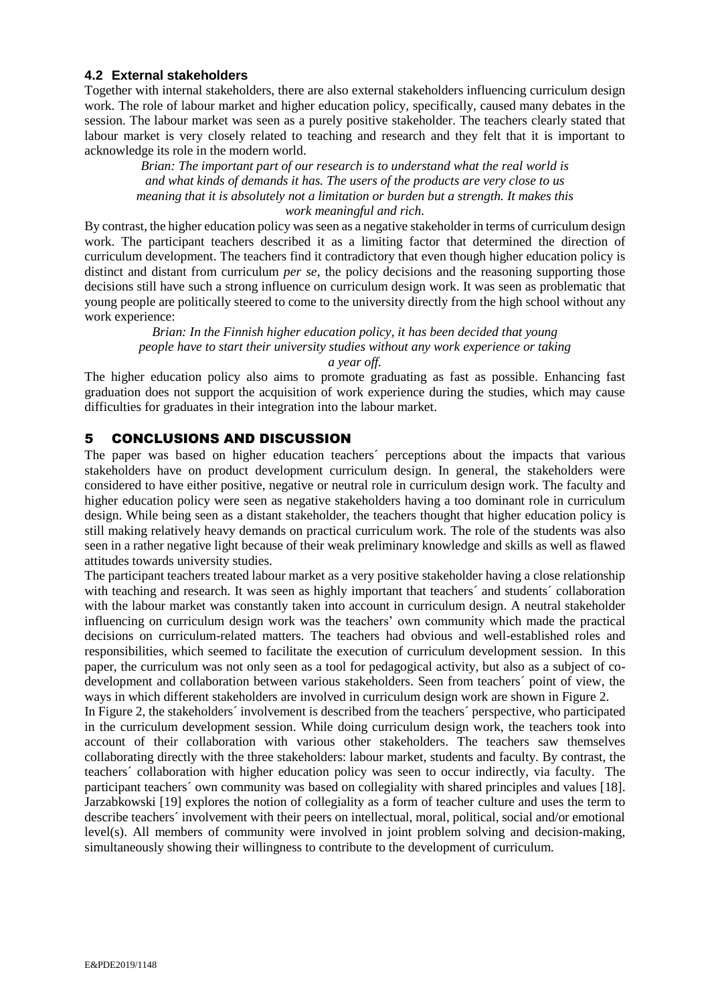### **4.2 External stakeholders**

Together with internal stakeholders, there are also external stakeholders influencing curriculum design work. The role of labour market and higher education policy, specifically, caused many debates in the session. The labour market was seen as a purely positive stakeholder. The teachers clearly stated that labour market is very closely related to teaching and research and they felt that it is important to acknowledge its role in the modern world.

*Brian: The important part of our research is to understand what the real world is and what kinds of demands it has. The users of the products are very close to us meaning that it is absolutely not a limitation or burden but a strength. It makes this work meaningful and rich.* 

By contrast, the higher education policy was seen as a negative stakeholder in terms of curriculum design work. The participant teachers described it as a limiting factor that determined the direction of curriculum development. The teachers find it contradictory that even though higher education policy is distinct and distant from curriculum *per se*, the policy decisions and the reasoning supporting those decisions still have such a strong influence on curriculum design work. It was seen as problematic that young people are politically steered to come to the university directly from the high school without any work experience:

*Brian: In the Finnish higher education policy, it has been decided that young people have to start their university studies without any work experience or taking a year off.*

The higher education policy also aims to promote graduating as fast as possible. Enhancing fast graduation does not support the acquisition of work experience during the studies, which may cause difficulties for graduates in their integration into the labour market.

# 5 CONCLUSIONS AND DISCUSSION

The paper was based on higher education teachers´ perceptions about the impacts that various stakeholders have on product development curriculum design. In general, the stakeholders were considered to have either positive, negative or neutral role in curriculum design work. The faculty and higher education policy were seen as negative stakeholders having a too dominant role in curriculum design. While being seen as a distant stakeholder, the teachers thought that higher education policy is still making relatively heavy demands on practical curriculum work. The role of the students was also seen in a rather negative light because of their weak preliminary knowledge and skills as well as flawed attitudes towards university studies.

The participant teachers treated labour market as a very positive stakeholder having a close relationship with teaching and research. It was seen as highly important that teachers' and students' collaboration with the labour market was constantly taken into account in curriculum design. A neutral stakeholder influencing on curriculum design work was the teachers' own community which made the practical decisions on curriculum-related matters. The teachers had obvious and well-established roles and responsibilities, which seemed to facilitate the execution of curriculum development session. In this paper, the curriculum was not only seen as a tool for pedagogical activity, but also as a subject of codevelopment and collaboration between various stakeholders. Seen from teachers´ point of view, the ways in which different stakeholders are involved in curriculum design work are shown in Figure 2.

In Figure 2, the stakeholders´ involvement is described from the teachers´ perspective, who participated in the curriculum development session. While doing curriculum design work, the teachers took into account of their collaboration with various other stakeholders. The teachers saw themselves collaborating directly with the three stakeholders: labour market, students and faculty. By contrast, the teachers´ collaboration with higher education policy was seen to occur indirectly, via faculty. The participant teachers´ own community was based on collegiality with shared principles and values [18]. Jarzabkowski [19] explores the notion of collegiality as a form of teacher culture and uses the term to describe teachers´ involvement with their peers on intellectual, moral, political, social and/or emotional level(s). All members of community were involved in joint problem solving and decision-making, simultaneously showing their willingness to contribute to the development of curriculum.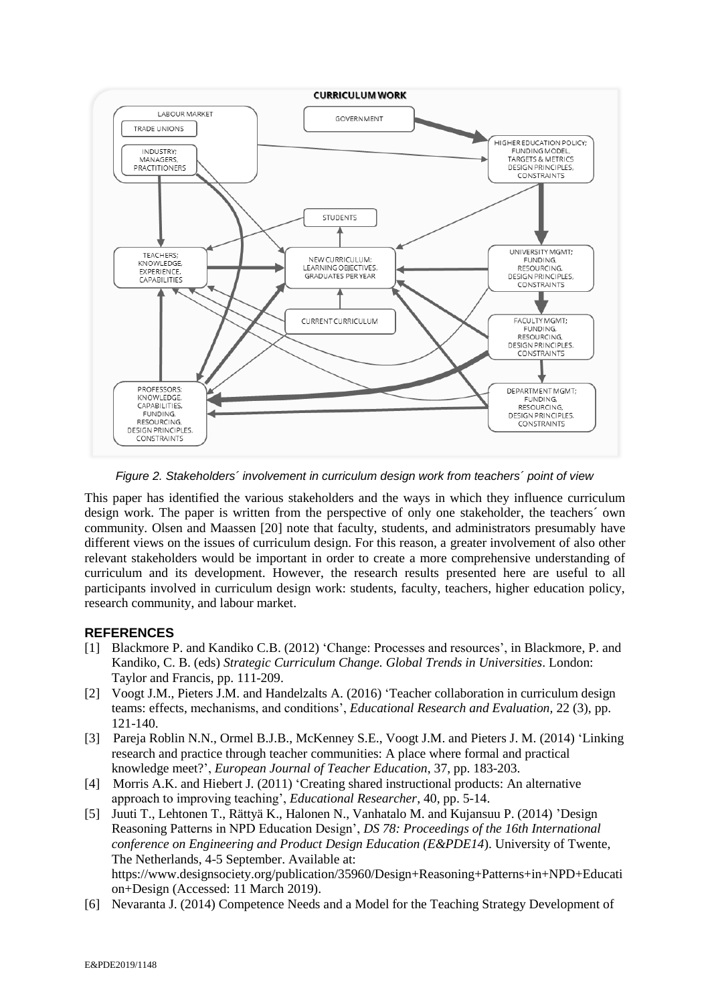

*Figure 2. Stakeholders´ involvement in curriculum design work from teachers´ point of view*

This paper has identified the various stakeholders and the ways in which they influence curriculum design work. The paper is written from the perspective of only one stakeholder, the teachers´ own community. Olsen and Maassen [20] note that faculty, students, and administrators presumably have different views on the issues of curriculum design. For this reason, a greater involvement of also other relevant stakeholders would be important in order to create a more comprehensive understanding of curriculum and its development. However, the research results presented here are useful to all participants involved in curriculum design work: students, faculty, teachers, higher education policy, research community, and labour market.

# **REFERENCES**

- [1] Blackmore P. and Kandiko C.B. (2012) 'Change: Processes and resources', in Blackmore, P. and Kandiko, C. B. (eds) *Strategic Curriculum Change. Global Trends in Universities*. London: Taylor and Francis, pp. 111-209.
- [2] Voogt J.M., Pieters J.M. and Handelzalts A. (2016) 'Teacher collaboration in curriculum design teams: effects, mechanisms, and conditions', *Educational Research and Evaluation,* 22 (3), pp. 121-140.
- [3] Pareja Roblin N.N., Ormel B.J.B., McKenney S.E., Voogt J.M. and Pieters J. M. (2014) 'Linking research and practice through teacher communities: A place where formal and practical knowledge meet?', *European Journal of Teacher Education*, 37, pp. 183-203.
- [4] Morris A.K. and Hiebert J. (2011) 'Creating shared instructional products: An alternative approach to improving teaching', *Educational Researcher*, 40, pp. 5-14.
- [5] Juuti T., Lehtonen T., Rättyä K., Halonen N., Vanhatalo M. and Kujansuu P. (2014) 'Design Reasoning Patterns in NPD Education Design', *DS 78: Proceedings of the 16th International conference on Engineering and Product Design Education (E&PDE14*). University of Twente, The Netherlands, 4-5 September. Available at: [https://www.designsociety.org/publication/35960/Design+Reasoning+Patterns+in+NPD+Educati](https://www.designsociety.org/publication/35960/Design+Reasoning+Patterns+in+NPD+Education+Design) [on+Design](https://www.designsociety.org/publication/35960/Design+Reasoning+Patterns+in+NPD+Education+Design) (Accessed: 11 March 2019).
- [6] Nevaranta J. (2014) Competence Needs and a Model for the Teaching Strategy Development of